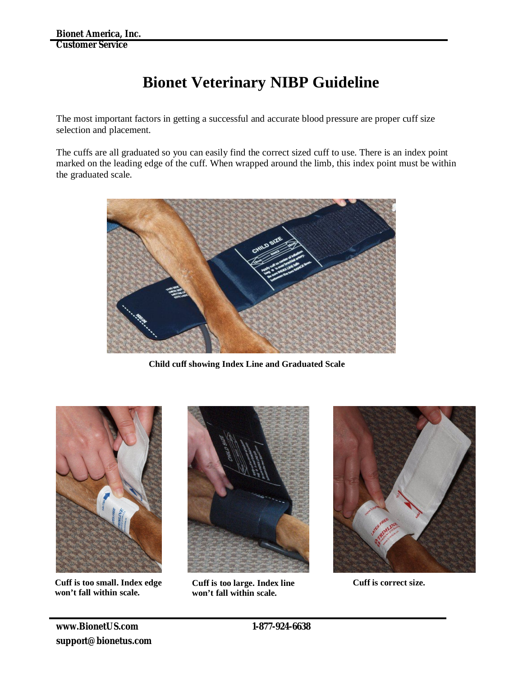## **Bionet Veterinary NIBP Guideline**

The most important factors in getting a successful and accurate blood pressure are proper cuff size selection and placement.

The cuffs are all graduated so you can easily find the correct sized cuff to use. There is an index point marked on the leading edge of the cuff. When wrapped around the limb, this index point must be within the graduated scale.



**Child cuff showing Index Line and Graduated Scale**



**Cuff is too small. Index edge won't fall within scale.**



**Cuff is too large. Index line won't fall within scale.**



**Cuff is correct size.**